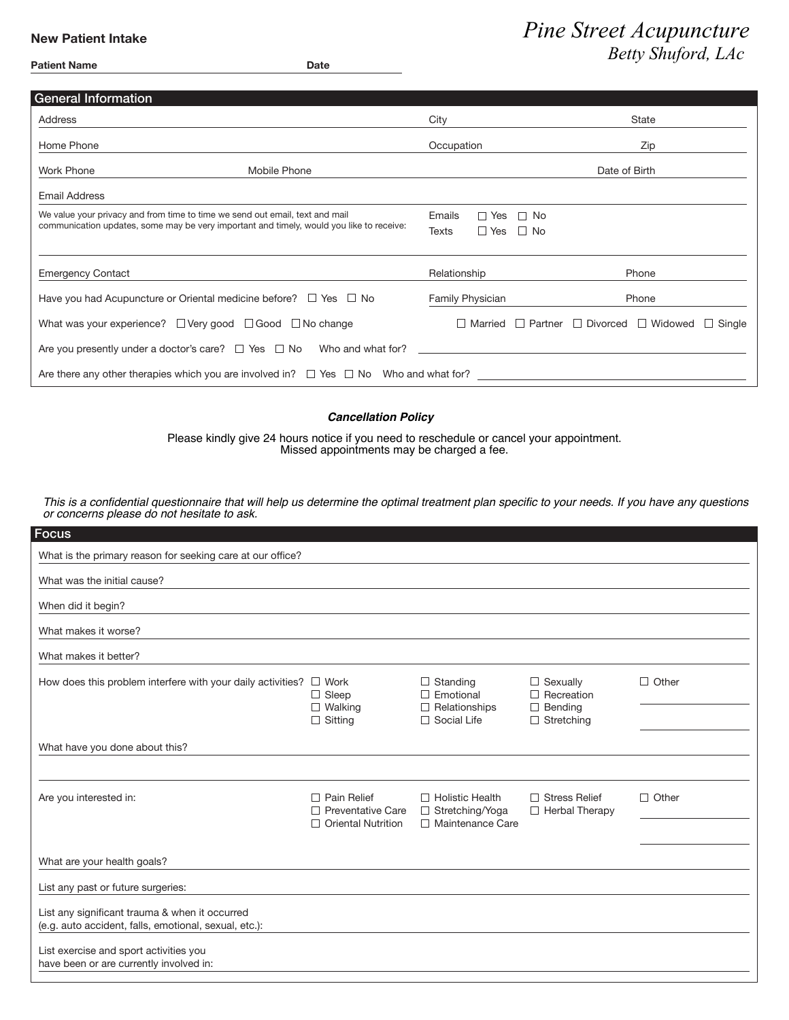### **New Patient Intake**

| <b>Patient Name</b> | <b>Date</b> |
|---------------------|-------------|
|                     |             |

# **Pine Street Acupuncture** *Betty Shuford, LAc*

| <b>General Information</b>                                                                            |                                   |                                                                               |  |  |  |
|-------------------------------------------------------------------------------------------------------|-----------------------------------|-------------------------------------------------------------------------------|--|--|--|
| Address                                                                                               | City                              | <b>State</b>                                                                  |  |  |  |
| Home Phone                                                                                            | Occupation                        | Zip                                                                           |  |  |  |
| Work Phone<br>Mobile Phone                                                                            | Date of Birth                     |                                                                               |  |  |  |
| <b>Email Address</b>                                                                                  |                                   |                                                                               |  |  |  |
| We value your privacy and from time to time we send out email, text and mail                          | Emails<br>$\Box$ Yes<br>$\Box$ No |                                                                               |  |  |  |
| communication updates, some may be very important and timely, would you like to receive:              | $\Box$ Yes $\Box$ No<br>Texts     |                                                                               |  |  |  |
|                                                                                                       |                                   |                                                                               |  |  |  |
| <b>Emergency Contact</b>                                                                              | Relationship                      | Phone                                                                         |  |  |  |
| Have you had Acupuncture or Oriental medicine before? $\Box$ Yes $\Box$ No                            | <b>Family Physician</b>           | Phone                                                                         |  |  |  |
| What was your experience? □ Very good □ Good □ No change                                              |                                   | $\Box$ Married $\Box$ Partner $\Box$ Divorced $\Box$ Widowed<br>$\Box$ Single |  |  |  |
| Are you presently under a doctor's care? $\Box$ Yes $\Box$ No Who and what for?                       |                                   |                                                                               |  |  |  |
| Are there any other therapies which you are involved in? $\square$ Yes $\square$ No Who and what for? |                                   |                                                                               |  |  |  |

#### *Cancellation Policy*

Please kindly give 24 hours notice if you need to reschedule or cancel your appointment. Missed appointments may be charged a fee.

*This is a confidential questionnaire that will help us determine the optimal treatment plan specific to your needs. If you have any questions or concerns please do not hesitate to ask.*

| Focus                                                                                                   |                                                                             |                                                                   |                                               |              |
|---------------------------------------------------------------------------------------------------------|-----------------------------------------------------------------------------|-------------------------------------------------------------------|-----------------------------------------------|--------------|
| What is the primary reason for seeking care at our office?                                              |                                                                             |                                                                   |                                               |              |
| What was the initial cause?                                                                             |                                                                             |                                                                   |                                               |              |
| When did it begin?                                                                                      |                                                                             |                                                                   |                                               |              |
| What makes it worse?                                                                                    |                                                                             |                                                                   |                                               |              |
| What makes it better?                                                                                   |                                                                             |                                                                   |                                               |              |
| How does this problem interfere with your daily activities?                                             | $\Box$ Work<br>$\Box$ Sleep                                                 | $\Box$ Standing<br>$\Box$ Emotional                               | $\Box$ Sexually<br>$\Box$ Recreation          | $\Box$ Other |
|                                                                                                         | $\Box$ Walking<br>$\Box$ Sitting                                            | $\Box$ Relationships<br>$\Box$ Social Life                        | $\Box$ Bending<br>$\Box$ Stretching           |              |
| What have you done about this?                                                                          |                                                                             |                                                                   |                                               |              |
| Are you interested in:                                                                                  | $\Box$ Pain Relief<br>$\Box$ Preventative Care<br>$\Box$ Oriental Nutrition | $\Box$ Holistic Health<br>□ Stretching/Yoga<br>□ Maintenance Care | $\Box$ Stress Relief<br>$\Box$ Herbal Therapy | $\Box$ Other |
| What are your health goals?                                                                             |                                                                             |                                                                   |                                               |              |
| List any past or future surgeries:                                                                      |                                                                             |                                                                   |                                               |              |
| List any significant trauma & when it occurred<br>(e.g. auto accident, falls, emotional, sexual, etc.): |                                                                             |                                                                   |                                               |              |
| List exercise and sport activities you<br>have been or are currently involved in:                       |                                                                             |                                                                   |                                               |              |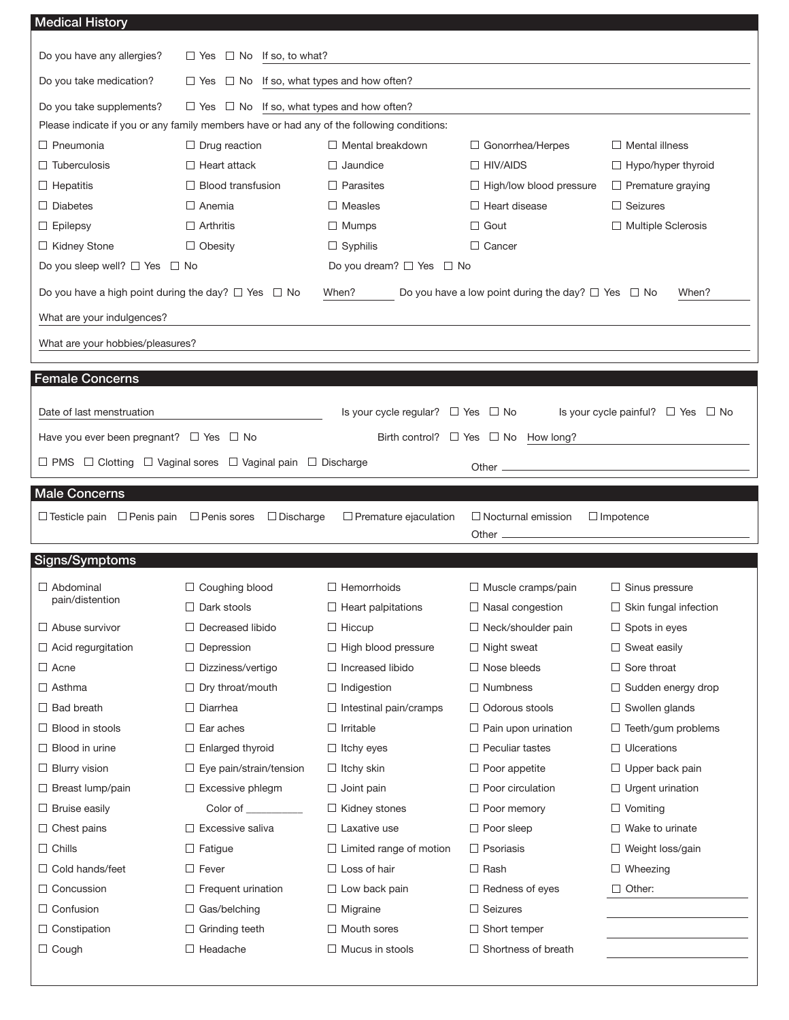| <b>Medical History</b>                                                                            |                                                                                           |                                                                             |                                                              |                                                    |  |  |  |
|---------------------------------------------------------------------------------------------------|-------------------------------------------------------------------------------------------|-----------------------------------------------------------------------------|--------------------------------------------------------------|----------------------------------------------------|--|--|--|
| Do you have any allergies?                                                                        | $\Box$ No If so, to what?<br>$\Box$ Yes                                                   |                                                                             |                                                              |                                                    |  |  |  |
| Do you take medication?<br>$\Box$ No If so, what types and how often?<br>$\Box$ Yes               |                                                                                           |                                                                             |                                                              |                                                    |  |  |  |
| Do you take supplements?                                                                          | $\Box$ Yes                                                                                | $\Box$ No If so, what types and how often?                                  |                                                              |                                                    |  |  |  |
|                                                                                                   | Please indicate if you or any family members have or had any of the following conditions: |                                                                             |                                                              |                                                    |  |  |  |
| $\Box$ Pneumonia                                                                                  | $\Box$ Drug reaction                                                                      | $\Box$ Mental breakdown<br>$\Box$ Mental illness<br>$\Box$ Gonorrhea/Herpes |                                                              |                                                    |  |  |  |
| $\Box$ Tuberculosis                                                                               | $\Box$ Heart attack                                                                       | $\Box$ Jaundice                                                             | $\Box$ Hypo/hyper thyroid                                    |                                                    |  |  |  |
| $\Box$ Hepatitis                                                                                  | $\Box$ Blood transfusion                                                                  | $\Box$ Parasites<br>$\Box$ High/low blood pressure                          |                                                              | $\Box$ Premature graying                           |  |  |  |
| $\Box$ Diabetes                                                                                   | $\Box$ Anemia                                                                             | $\Box$ Measles                                                              | Heart disease                                                | $\Box$ Seizures                                    |  |  |  |
| $\Box$ Epilepsy                                                                                   | $\Box$ Arthritis                                                                          | $\Box$ Mumps                                                                | Gout<br>П                                                    | $\Box$ Multiple Sclerosis                          |  |  |  |
| □ Kidney Stone                                                                                    | $\Box$ Obesity                                                                            | $\Box$ Syphilis                                                             | $\Box$ Cancer                                                |                                                    |  |  |  |
| Do you sleep well? $\Box$ Yes $\Box$ No                                                           |                                                                                           | Do you dream? $\Box$ Yes $\Box$ No                                          |                                                              |                                                    |  |  |  |
| Do you have a high point during the day? $\Box$ Yes $\Box$ No                                     |                                                                                           | When?                                                                       | Do you have a low point during the day? $\Box$ Yes $\Box$ No | When?                                              |  |  |  |
| What are your indulgences?                                                                        |                                                                                           |                                                                             |                                                              |                                                    |  |  |  |
| What are your hobbies/pleasures?                                                                  |                                                                                           |                                                                             |                                                              |                                                    |  |  |  |
|                                                                                                   |                                                                                           |                                                                             |                                                              |                                                    |  |  |  |
| <b>Female Concerns</b>                                                                            |                                                                                           |                                                                             |                                                              |                                                    |  |  |  |
| Date of last menstruation                                                                         |                                                                                           | Is your cycle regular? $\Box$ Yes $\Box$ No                                 |                                                              | Is your cycle painful? $\Box$ Yes $\Box$ No        |  |  |  |
|                                                                                                   |                                                                                           |                                                                             | Birth control? $\Box$ Yes $\Box$ No How long?                |                                                    |  |  |  |
| Have you ever been pregnant? $\Box$ Yes $\Box$ No                                                 |                                                                                           |                                                                             |                                                              |                                                    |  |  |  |
| $\Box$ PMS $\Box$ Clotting $\Box$ Vaginal sores $\Box$ Vaginal pain $\Box$ Discharge<br>Other $-$ |                                                                                           |                                                                             |                                                              |                                                    |  |  |  |
|                                                                                                   |                                                                                           |                                                                             |                                                              |                                                    |  |  |  |
| <b>Male Concerns</b>                                                                              |                                                                                           |                                                                             |                                                              |                                                    |  |  |  |
| $\Box$ Testicle pain $\Box$ Penis pain                                                            | $\Box$ Penis sores<br>$\Box$ Discharge                                                    | $\Box$ Premature ejaculation                                                | $\Box$ Nocturnal emission                                    | $\Box$ Impotence                                   |  |  |  |
|                                                                                                   |                                                                                           |                                                                             | Other _                                                      |                                                    |  |  |  |
| Signs/Symptoms                                                                                    |                                                                                           |                                                                             |                                                              |                                                    |  |  |  |
|                                                                                                   |                                                                                           |                                                                             |                                                              |                                                    |  |  |  |
| $\Box$ Abdominal<br>pain/distention                                                               | □ Coughing blood                                                                          | $\Box$ Hemorrhoids                                                          | $\Box$ Muscle cramps/pain                                    | $\Box$ Sinus pressure                              |  |  |  |
|                                                                                                   | $\Box$ Dark stools                                                                        | $\Box$ Heart palpitations                                                   | $\Box$ Nasal congestion                                      | $\Box$ Skin fungal infection                       |  |  |  |
| $\Box$ Abuse survivor                                                                             | $\Box$ Decreased libido                                                                   | $\Box$ Hiccup                                                               | $\Box$ Neck/shoulder pain                                    | $\Box$ Spots in eyes<br>$\Box$ Sweat easily        |  |  |  |
| $\Box$ Acid regurgitation<br>$\Box$ Acne                                                          | $\Box$ Depression                                                                         | $\Box$ High blood pressure<br>$\Box$ Increased libido                       | $\Box$ Night sweat<br>$\Box$ Nose bleeds                     | $\Box$ Sore throat                                 |  |  |  |
| $\Box$ Asthma                                                                                     | $\Box$ Dizziness/vertigo                                                                  |                                                                             | <b>Numbness</b><br>$\Box$                                    |                                                    |  |  |  |
| $\Box$ Bad breath                                                                                 | $\Box$ Dry throat/mouth<br>$\Box$ Diarrhea                                                | $\Box$ Indigestion                                                          | Odorous stools<br>$\mathsf{L}$                               | $\Box$ Sudden energy drop<br>$\Box$ Swollen glands |  |  |  |
| $\Box$ Blood in stools                                                                            | $\Box$ Ear aches                                                                          | $\Box$ Intestinal pain/cramps<br>$\Box$ Irritable                           | $\Box$ Pain upon urination                                   | $\Box$ Teeth/gum problems                          |  |  |  |
| $\Box$ Blood in urine                                                                             | $\Box$ Enlarged thyroid                                                                   | $\Box$ Itchy eyes                                                           | Peculiar tastes<br>⊔                                         | $\Box$ Ulcerations                                 |  |  |  |
| $\Box$ Blurry vision                                                                              | $\Box$ Eye pain/strain/tension                                                            | $\Box$ Itchy skin                                                           | $\Box$ Poor appetite                                         | $\Box$ Upper back pain                             |  |  |  |
| $\Box$ Breast lump/pain                                                                           | $\Box$ Excessive phlegm                                                                   | $\Box$ Joint pain                                                           | Poor circulation                                             | $\Box$ Urgent urination                            |  |  |  |
| $\Box$ Bruise easily                                                                              | Color of __________                                                                       | $\Box$ Kidney stones                                                        | Poor memory<br>ப                                             | $\Box$ Vomiting                                    |  |  |  |
| $\Box$ Chest pains                                                                                | $\Box$ Excessive saliva                                                                   | $\Box$ Laxative use                                                         | $\Box$ Poor sleep                                            | $\Box$ Wake to urinate                             |  |  |  |
| $\Box$ Chills                                                                                     | $\Box$ Fatigue                                                                            | $\Box$ Limited range of motion                                              | $\Box$ Psoriasis                                             | $\Box$ Weight loss/gain                            |  |  |  |
| $\Box$ Cold hands/feet                                                                            | $\Box$ Fever                                                                              | $\Box$ Loss of hair                                                         | $\Box$ Rash                                                  | $\Box$ Wheezing                                    |  |  |  |
| □ Concussion                                                                                      | $\Box$ Frequent urination                                                                 | $\Box$ Low back pain                                                        | $\Box$ Redness of eyes                                       | $\Box$ Other:                                      |  |  |  |
| $\Box$ Confusion                                                                                  | $\Box$ Gas/belching                                                                       | $\Box$ Migraine                                                             | Seizures<br>$\Box$                                           |                                                    |  |  |  |
| $\Box$ Constipation                                                                               | $\Box$ Grinding teeth                                                                     | $\Box$ Mouth sores                                                          | Short temper<br>⊔                                            |                                                    |  |  |  |
| $\Box$ Cough                                                                                      | $\Box$ Headache                                                                           | $\Box$ Mucus in stools                                                      | Shortness of breath                                          |                                                    |  |  |  |